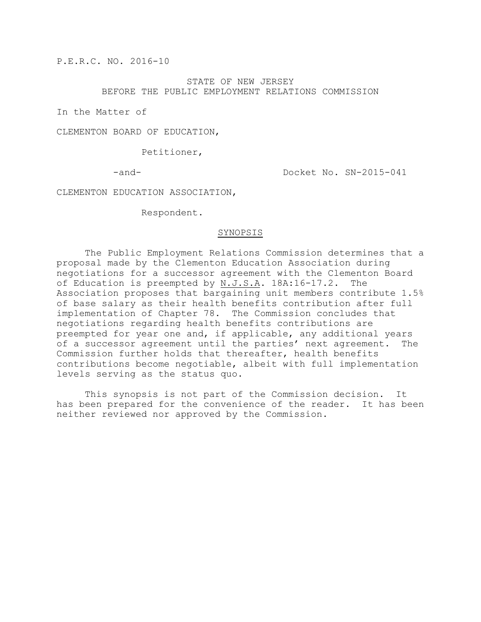P.E.R.C. NO. 2016-10

STATE OF NEW JERSEY BEFORE THE PUBLIC EMPLOYMENT RELATIONS COMMISSION

In the Matter of

CLEMENTON BOARD OF EDUCATION,

Petitioner,

-and-  $Docket$  No.  $SN-2015-041$ 

CLEMENTON EDUCATION ASSOCIATION,

Respondent.

#### SYNOPSIS

The Public Employment Relations Commission determines that a proposal made by the Clementon Education Association during negotiations for a successor agreement with the Clementon Board of Education is preempted by N.J.S.A. 18A:16-17.2. The Association proposes that bargaining unit members contribute 1.5% of base salary as their health benefits contribution after full implementation of Chapter 78. The Commission concludes that negotiations regarding health benefits contributions are preempted for year one and, if applicable, any additional years of a successor agreement until the parties' next agreement. The Commission further holds that thereafter, health benefits contributions become negotiable, albeit with full implementation levels serving as the status quo.

This synopsis is not part of the Commission decision. It has been prepared for the convenience of the reader. It has been neither reviewed nor approved by the Commission.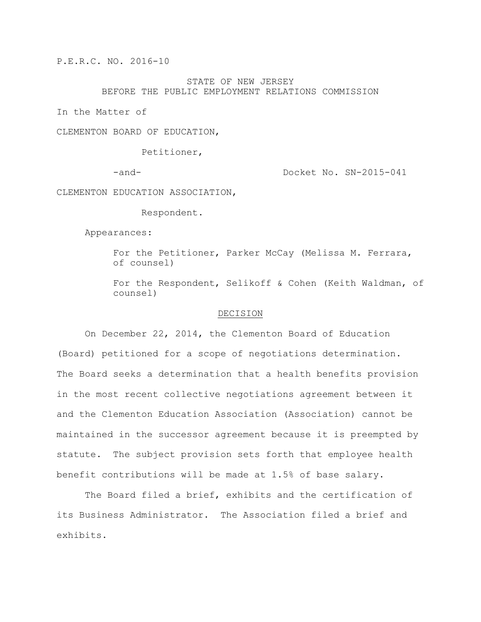P.E.R.C. NO. 2016-10

## STATE OF NEW JERSEY BEFORE THE PUBLIC EMPLOYMENT RELATIONS COMMISSION

In the Matter of

CLEMENTON BOARD OF EDUCATION,

Petitioner,

-and-  $Docket$  No.  $SN-2015-041$ 

CLEMENTON EDUCATION ASSOCIATION,

Respondent.

Appearances:

For the Petitioner, Parker McCay (Melissa M. Ferrara, of counsel)

For the Respondent, Selikoff & Cohen (Keith Waldman, of counsel)

#### DECISION

On December 22, 2014, the Clementon Board of Education (Board) petitioned for a scope of negotiations determination. The Board seeks a determination that a health benefits provision in the most recent collective negotiations agreement between it and the Clementon Education Association (Association) cannot be maintained in the successor agreement because it is preempted by statute. The subject provision sets forth that employee health benefit contributions will be made at 1.5% of base salary.

The Board filed a brief, exhibits and the certification of its Business Administrator. The Association filed a brief and exhibits.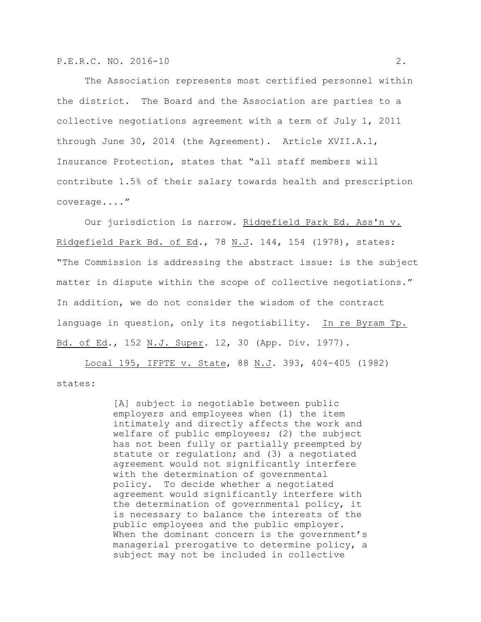The Association represents most certified personnel within the district. The Board and the Association are parties to a collective negotiations agreement with a term of July 1, 2011 through June 30, 2014 (the Agreement). Article XVII.A.1, Insurance Protection, states that "all staff members will contribute 1.5% of their salary towards health and prescription coverage...."

Our jurisdiction is narrow. Ridgefield Park Ed. Ass'n v. Ridgefield Park Bd. of Ed., 78 N.J. 144, 154 (1978), states: "The Commission is addressing the abstract issue: is the subject matter in dispute within the scope of collective negotiations." In addition, we do not consider the wisdom of the contract language in question, only its negotiability. In re Byram Tp. Bd. of Ed., 152 N.J. Super. 12, 30 (App. Div. 1977).

Local 195, IFPTE v. State, 88 N.J. 393, 404-405 (1982) states:

> [A] subject is negotiable between public employers and employees when (1) the item intimately and directly affects the work and welfare of public employees; (2) the subject has not been fully or partially preempted by statute or regulation; and (3) a negotiated agreement would not significantly interfere with the determination of governmental policy. To decide whether a negotiated agreement would significantly interfere with the determination of governmental policy, it is necessary to balance the interests of the public employees and the public employer. When the dominant concern is the government's managerial prerogative to determine policy, a subject may not be included in collective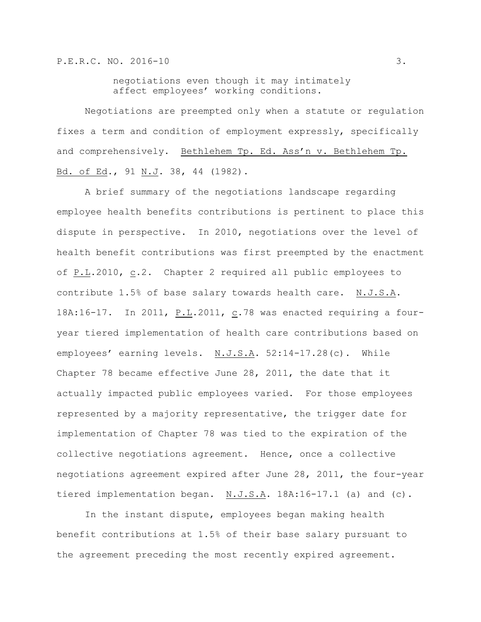negotiations even though it may intimately affect employees' working conditions.

Negotiations are preempted only when a statute or regulation fixes a term and condition of employment expressly, specifically and comprehensively. Bethlehem Tp. Ed. Ass'n v. Bethlehem Tp. Bd. of Ed., 91 N.J. 38, 44 (1982).

A brief summary of the negotiations landscape regarding employee health benefits contributions is pertinent to place this dispute in perspective. In 2010, negotiations over the level of health benefit contributions was first preempted by the enactment of P.L.2010, c.2. Chapter 2 required all public employees to contribute 1.5% of base salary towards health care. N.J.S.A. 18A:16-17. In 2011, P.L.2011, c.78 was enacted requiring a fouryear tiered implementation of health care contributions based on employees' earning levels. N.J.S.A. 52:14-17.28(c). While Chapter 78 became effective June 28, 2011, the date that it actually impacted public employees varied. For those employees represented by a majority representative, the trigger date for implementation of Chapter 78 was tied to the expiration of the collective negotiations agreement. Hence, once a collective negotiations agreement expired after June 28, 2011, the four-year tiered implementation began. N.J.S.A. 18A:16-17.1 (a) and (c).

In the instant dispute, employees began making health benefit contributions at 1.5% of their base salary pursuant to the agreement preceding the most recently expired agreement.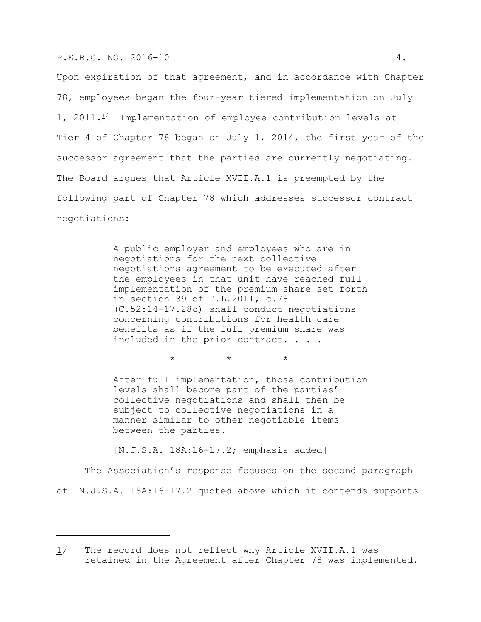#### P.E.R.C. NO. 2016-10 4.

Upon expiration of that agreement, and in accordance with Chapter 78, employees began the four-year tiered implementation on July 1, 2011. $\frac{1}{2}$  Implementation of employee contribution levels at Tier 4 of Chapter 78 began on July 1, 2014, the first year of the successor agreement that the parties are currently negotiating. The Board argues that Article XVII.A.1 is preempted by the following part of Chapter 78 which addresses successor contract negotiations:

> A public employer and employees who are in negotiations for the next collective negotiations agreement to be executed after the employees in that unit have reached full implementation of the premium share set forth in section 39 of P.L.2011, c.78 (C.52:14-17.28c) shall conduct negotiations concerning contributions for health care benefits as if the full premium share was included in the prior contract. . . .

> > $\star$   $\star$   $\star$

After full implementation, those contribution levels shall become part of the parties' collective negotiations and shall then be subject to collective negotiations in a manner similar to other negotiable items between the parties.

[N.J.S.A. 18A:16-17.2; emphasis added]

The Association's response focuses on the second paragraph of N.J.S.A. 18A:16-17.2 quoted above which it contends supports

<sup>1/</sup> The record does not reflect why Article XVII.A.1 was retained in the Agreement after Chapter 78 was implemented.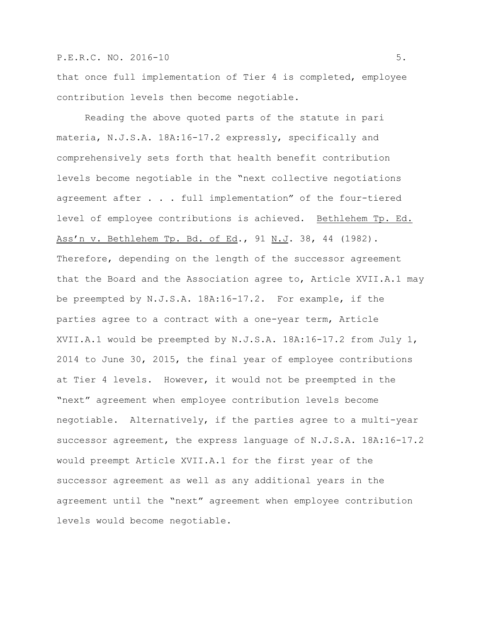## P.E.R.C. NO. 2016-10 5.

that once full implementation of Tier 4 is completed, employee contribution levels then become negotiable.

Reading the above quoted parts of the statute in pari materia, N.J.S.A. 18A:16-17.2 expressly, specifically and comprehensively sets forth that health benefit contribution levels become negotiable in the "next collective negotiations agreement after . . . full implementation" of the four-tiered level of employee contributions is achieved. Bethlehem Tp. Ed. Ass'n v. Bethlehem Tp. Bd. of Ed., 91 N.J. 38, 44 (1982). Therefore, depending on the length of the successor agreement that the Board and the Association agree to, Article XVII.A.1 may be preempted by N.J.S.A. 18A:16-17.2. For example, if the parties agree to a contract with a one-year term, Article XVII.A.1 would be preempted by N.J.S.A. 18A:16-17.2 from July 1, 2014 to June 30, 2015, the final year of employee contributions at Tier 4 levels. However, it would not be preempted in the "next" agreement when employee contribution levels become negotiable. Alternatively, if the parties agree to a multi-year successor agreement, the express language of N.J.S.A. 18A:16-17.2 would preempt Article XVII.A.1 for the first year of the successor agreement as well as any additional years in the agreement until the "next" agreement when employee contribution levels would become negotiable.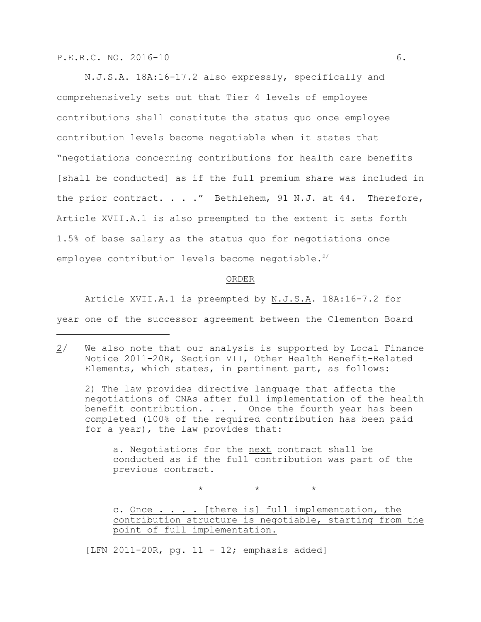N.J.S.A. 18A:16-17.2 also expressly, specifically and comprehensively sets out that Tier 4 levels of employee contributions shall constitute the status quo once employee contribution levels become negotiable when it states that "negotiations concerning contributions for health care benefits [shall be conducted] as if the full premium share was included in the prior contract. . . ." Bethlehem, 91 N.J. at 44. Therefore, Article XVII.A.1 is also preempted to the extent it sets forth 1.5% of base salary as the status quo for negotiations once employee contribution levels become negotiable.<sup>2/</sup>

### ORDER

Article XVII.A.1 is preempted by N.J.S.A. 18A:16-7.2 for year one of the successor agreement between the Clementon Board

2) The law provides directive language that affects the negotiations of CNAs after full implementation of the health benefit contribution. . . . Once the fourth year has been completed (100% of the required contribution has been paid for a year), the law provides that:

a. Negotiations for the next contract shall be conducted as if the full contribution was part of the previous contract.

 $\star$   $\star$   $\star$ 

[LFN 2011-20R, pg. 11 - 12; emphasis added]

<sup>2/</sup> We also note that our analysis is supported by Local Finance Notice 2011-20R, Section VII, Other Health Benefit-Related Elements, which states, in pertinent part, as follows:

c. Once . . . . [there is] full implementation, the contribution structure is negotiable, starting from the point of full implementation.